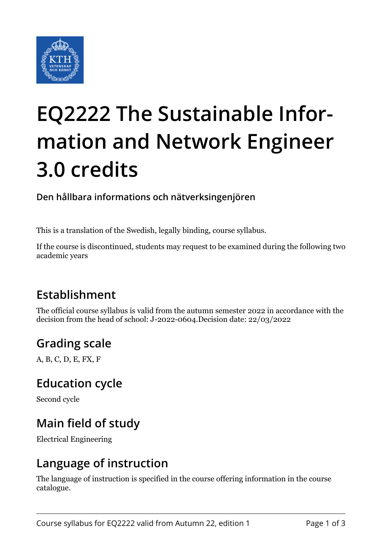

# **EQ2222 The Sustainable Information and Network Engineer 3.0 credits**

**Den hållbara informations och nätverksingenjören**

This is a translation of the Swedish, legally binding, course syllabus.

If the course is discontinued, students may request to be examined during the following two academic years

## **Establishment**

The official course syllabus is valid from the autumn semester 2022 in accordance with the decision from the head of school: J-2022-0604.Decision date: 22/03/2022

## **Grading scale**

A, B, C, D, E, FX, F

#### **Education cycle**

Second cycle

## **Main field of study**

Electrical Engineering

## **Language of instruction**

The language of instruction is specified in the course offering information in the course catalogue.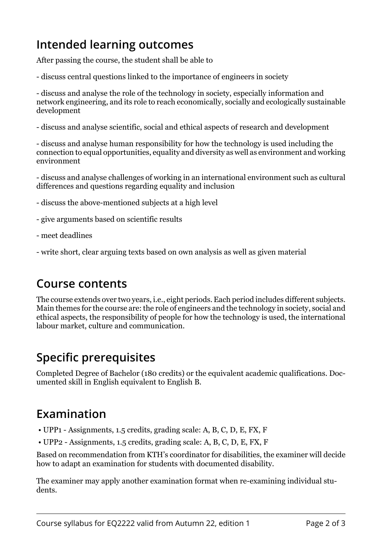## **Intended learning outcomes**

After passing the course, the student shall be able to

- discuss central questions linked to the importance of engineers in society

- discuss and analyse the role of the technology in society, especially information and network engineering, and its role to reach economically, socially and ecologically sustainable development

- discuss and analyse scientific, social and ethical aspects of research and development

- discuss and analyse human responsibility for how the technology is used including the connection to equal opportunities, equality and diversity as well as environment and working environment

- discuss and analyse challenges of working in an international environment such as cultural differences and questions regarding equality and inclusion

- discuss the above-mentioned subjects at a high level

- give arguments based on scientific results
- meet deadlines
- write short, clear arguing texts based on own analysis as well as given material

## **Course contents**

The course extends over two years, i.e., eight periods. Each period includes different subjects. Main themes for the course are: the role of engineers and the technology in society, social and ethical aspects, the responsibility of people for how the technology is used, the international labour market, culture and communication.

## **Specific prerequisites**

Completed Degree of Bachelor (180 credits) or the equivalent academic qualifications. Documented skill in English equivalent to English B.

## **Examination**

- UPP1 Assignments, 1.5 credits, grading scale: A, B, C, D, E, FX, F
- UPP2 Assignments, 1.5 credits, grading scale: A, B, C, D, E, FX, F

Based on recommendation from KTH's coordinator for disabilities, the examiner will decide how to adapt an examination for students with documented disability.

The examiner may apply another examination format when re-examining individual students.